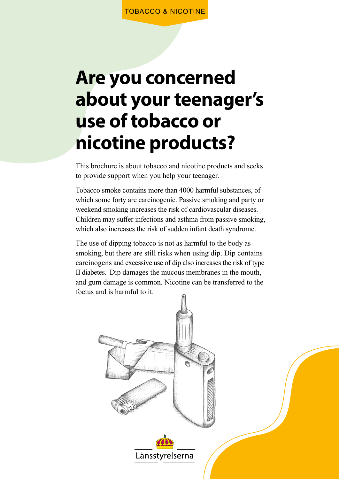## **Are you concerned about your teenager's use of tobacco or nicotine products?**

This brochure is about tobacco and nicotine products and seeks to provide support when you help your teenager.

Tobacco smoke contains more than 4000 harmful substances, of which some forty are carcinogenic. Passive smoking and party or weekend smoking increases the risk of cardiovascular diseases. Children may suffer infections and asthma from passive smoking, which also increases the risk of sudden infant death syndrome.

The use of dipping tobacco is not as harmful to the body as smoking, but there are still risks when using dip. Dip contains carcinogens and excessive use of dip also increases the risk of type II diabetes. Dip damages the mucous membranes in the mouth, and gum damage is common. Nicotine can be transferred to the foetus and is harmful to it.

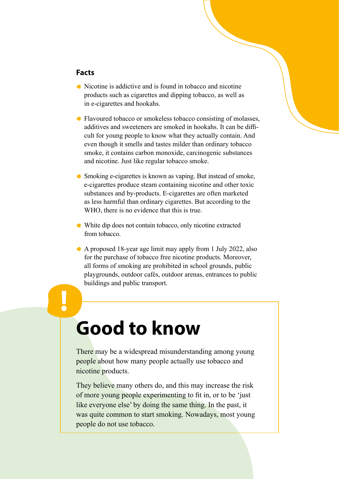#### **Facts**

**!**

- Nicotine is addictive and is found in tobacco and nicotine products such as cigarettes and dipping tobacco, as well as in e-cigarettes and hookahs.
- Flavoured tobacco or smokeless tobacco consisting of molasses, additives and sweeteners are smoked in hookahs. It can be difficult for young people to know what they actually contain. And even though it smells and tastes milder than ordinary tobacco smoke, it contains carbon monoxide, carcinogenic substances and nicotine. Just like regular tobacco smoke.
- Smoking e-cigarettes is known as vaping. But instead of smoke, e-cigarettes produce steam containing nicotine and other toxic substances and by-products. E-cigarettes are often marketed as less harmful than ordinary cigarettes. But according to the WHO, there is no evidence that this is true.
- White dip does not contain tobacco, only nicotine extracted from tobacco.
- A proposed 18-year age limit may apply from 1 July 2022, also for the purchase of tobacco free nicotine products. Moreover, all forms of smoking are prohibited in school grounds, public playgrounds, outdoor cafés, outdoor arenas, entrances to public buildings and public transport.

# **Good to know**

There may be a widespread misunderstanding among young people about how many people actually use tobacco and nicotine products.

They believe many others do, and this may increase the risk of more young people experimenting to fit in, or to be 'just like everyone else' by doing the same thing. In the past, it was quite common to start smoking. Nowadays, most young people do not use tobacco.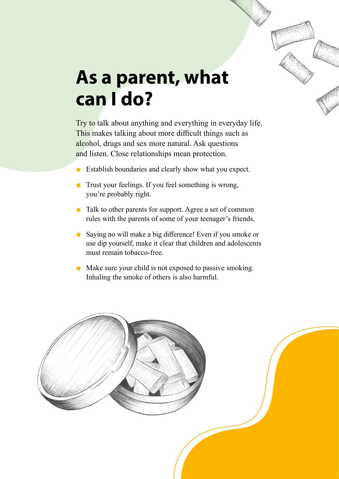

Try to talk about anything and everything in everyday life. This makes talking about more difficult things such as alcohol, drugs and sex more natural. Ask questions and listen. Close relationships mean protection.

- Establish boundaries and clearly show what you expect.  $\bullet$
- **Trust your feelings. If you feel something is wrong,** you're probably right.
- Talk to other parents for support. Agree a set of common rules with the parents of some of your teenager's friends.
- Saying no will make a big difference! Even if you smoke or use dip yourself, make it clear that children and adolescents must remain tobacco-free.
- Make sure your child is not exposed to passive smoking. Inhaling the smoke of others is also harmful.